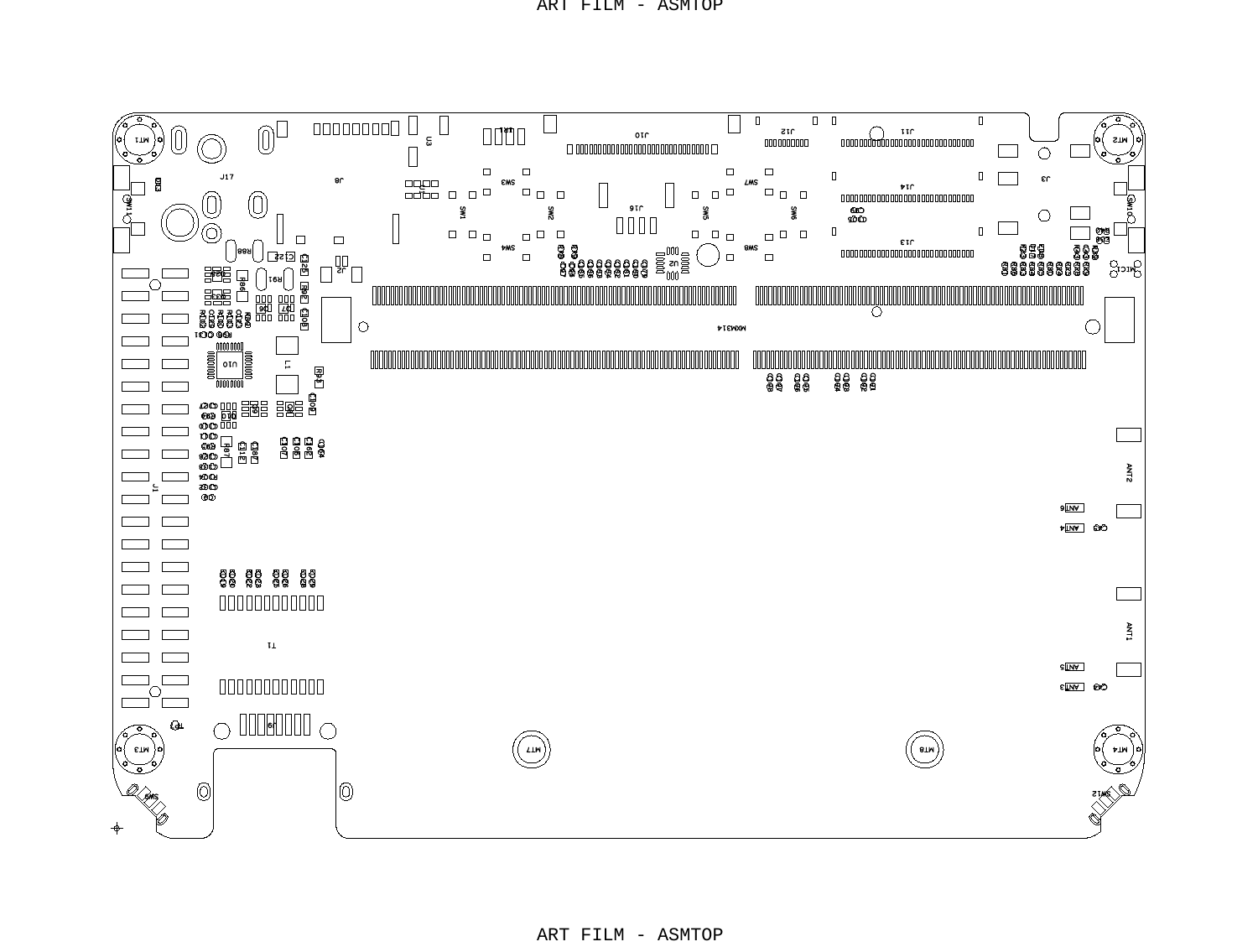